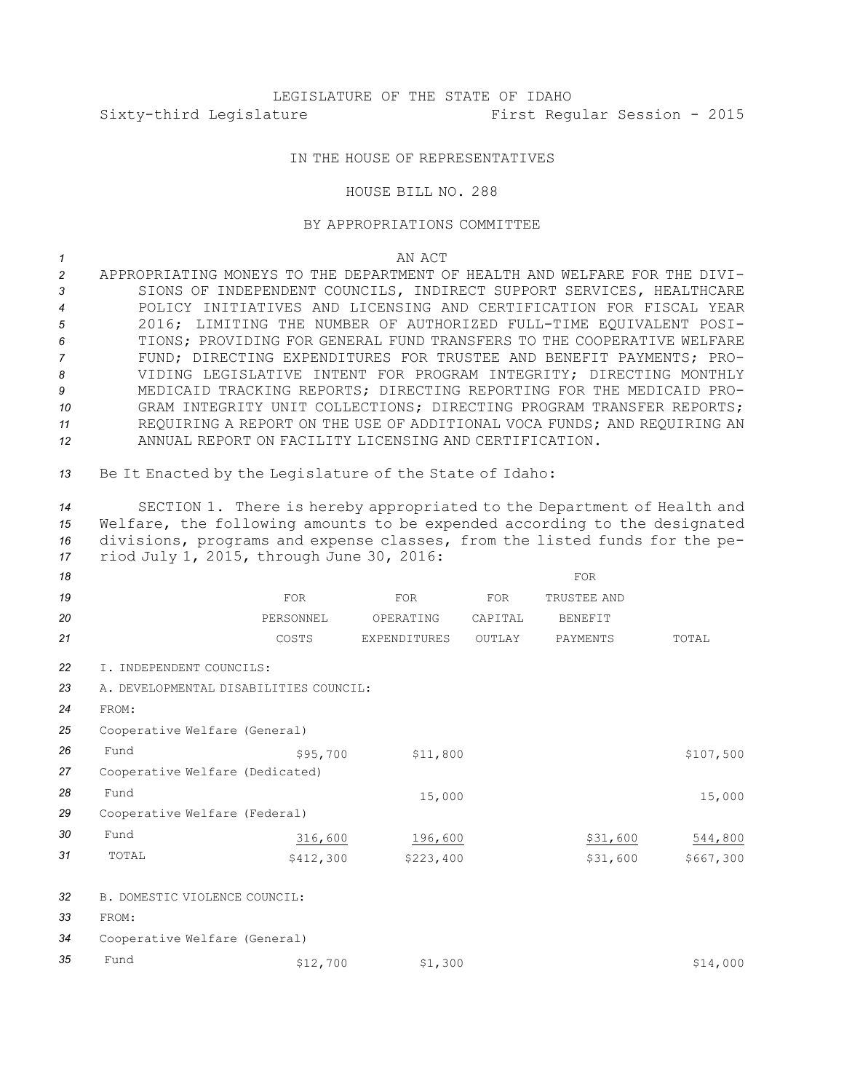## LEGISLATURE OF THE STATE OF IDAHO Sixty-third Legislature First Regular Session - 2015

## IN THE HOUSE OF REPRESENTATIVES

## HOUSE BILL NO. 288

## BY APPROPRIATIONS COMMITTEE

*1* AN ACT

 APPROPRIATING MONEYS TO THE DEPARTMENT OF HEALTH AND WELFARE FOR THE DIVI- SIONS OF INDEPENDENT COUNCILS, INDIRECT SUPPORT SERVICES, HEALTHCARE POLICY INITIATIVES AND LICENSING AND CERTIFICATION FOR FISCAL YEAR 2016; LIMITING THE NUMBER OF AUTHORIZED FULL-TIME EQUIVALENT POSI- TIONS; PROVIDING FOR GENERAL FUND TRANSFERS TO THE COOPERATIVE WELFARE FUND; DIRECTING EXPENDITURES FOR TRUSTEE AND BENEFIT PAYMENTS; PRO- VIDING LEGISLATIVE INTENT FOR PROGRAM INTEGRITY; DIRECTING MONTHLY MEDICAID TRACKING REPORTS; DIRECTING REPORTING FOR THE MEDICAID PRO- GRAM INTEGRITY UNIT COLLECTIONS; DIRECTING PROGRAM TRANSFER REPORTS; REQUIRING A REPORT ON THE USE OF ADDITIONAL VOCA FUNDS; AND REQUIRING AN ANNUAL REPORT ON FACILITY LICENSING AND CERTIFICATION.

*<sup>13</sup>* Be It Enacted by the Legislature of the State of Idaho:

 SECTION 1. There is hereby appropriated to the Department of Health and Welfare, the following amounts to be expended according to the designated divisions, programs and expense classes, from the listed funds for the pe-riod July 1, 2015, through June 30, 2016:

| 18 |                                        |            |                     |            | <b>FOR</b>     |           |
|----|----------------------------------------|------------|---------------------|------------|----------------|-----------|
| 19 |                                        | <b>FOR</b> | <b>FOR</b>          | <b>FOR</b> | TRUSTEE AND    |           |
| 20 |                                        | PERSONNEL  | OPERATING           | CAPITAL    | <b>BENEFIT</b> |           |
| 21 |                                        | COSTS      | <b>EXPENDITURES</b> | OUTLAY     | PAYMENTS       | TOTAL     |
| 22 | I. INDEPENDENT COUNCILS:               |            |                     |            |                |           |
| 23 | A. DEVELOPMENTAL DISABILITIES COUNCIL: |            |                     |            |                |           |
| 24 | FROM:                                  |            |                     |            |                |           |
| 25 | Cooperative Welfare (General)          |            |                     |            |                |           |
| 26 | Fund                                   | \$95,700   | \$11,800            |            |                | \$107,500 |
| 27 | Cooperative Welfare (Dedicated)        |            |                     |            |                |           |
| 28 | Fund                                   |            | 15,000              |            |                | 15,000    |
| 29 | Cooperative Welfare (Federal)          |            |                     |            |                |           |
| 30 | Fund                                   | 316,600    | 196,600             |            | \$31,600       | 544,800   |
| 31 | TOTAL                                  | \$412,300  | \$223,400           |            | \$31,600       | \$667,300 |
| 32 | B. DOMESTIC VIOLENCE COUNCIL:          |            |                     |            |                |           |
| 33 | FROM:                                  |            |                     |            |                |           |
| 34 | Cooperative Welfare (General)          |            |                     |            |                |           |
| 35 | Fund                                   | \$12,700   | \$1,300             |            |                | \$14,000  |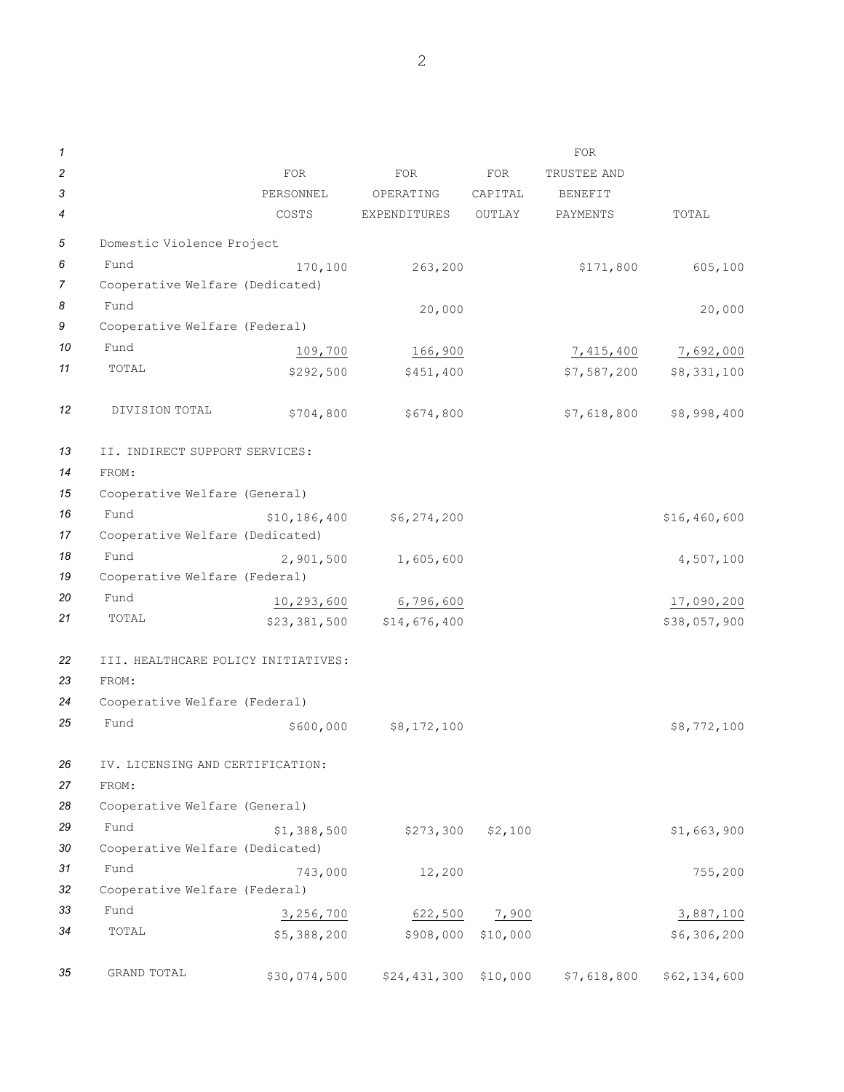| 1              |                                     |                |                         |          | FOR            |              |
|----------------|-------------------------------------|----------------|-------------------------|----------|----------------|--------------|
| $\overline{c}$ |                                     | <b>FOR</b>     | <b>FOR</b>              | FOR      | TRUSTEE AND    |              |
| 3              |                                     | PERSONNEL      | OPERATING               | CAPITAL  | <b>BENEFIT</b> |              |
| 4              |                                     | COSTS          | EXPENDITURES            | OUTLAY   | PAYMENTS       | TOTAL        |
| 5              | Domestic Violence Project           |                |                         |          |                |              |
| 6              | Fund                                | 170,100        | 263,200                 |          | \$171,800      | 605,100      |
| 7              | Cooperative Welfare (Dedicated)     |                |                         |          |                |              |
| 8              | Fund                                |                | 20,000                  |          |                | 20,000       |
| 9              | Cooperative Welfare (Federal)       |                |                         |          |                |              |
| 10             | Fund                                | 109,700        | 166,900                 |          | 7,415,400      | 7,692,000    |
| 11             | TOTAL                               | \$292,500      | \$451,400               |          | \$7,587,200    | \$8,331,100  |
| 12             | DIVISION TOTAL                      | \$704,800      | \$674,800               |          | \$7,618,800    | \$8,998,400  |
| 13             | II. INDIRECT SUPPORT SERVICES:      |                |                         |          |                |              |
| 14             | FROM:                               |                |                         |          |                |              |
| 15             | Cooperative Welfare (General)       |                |                         |          |                |              |
| 16             | Fund                                | \$10, 186, 400 | \$6,274,200             |          |                | \$16,460,600 |
| 17             | Cooperative Welfare (Dedicated)     |                |                         |          |                |              |
| 18             | Fund                                | 2,901,500      | 1,605,600               |          |                | 4,507,100    |
| 19             | Cooperative Welfare (Federal)       |                |                         |          |                |              |
| 20             | Fund                                | 10,293,600     | 6,796,600               |          |                | 17,090,200   |
| 21             | TOTAL                               | \$23,381,500   | \$14,676,400            |          |                | \$38,057,900 |
| 22             | III. HEALTHCARE POLICY INITIATIVES: |                |                         |          |                |              |
| 23             | FROM:                               |                |                         |          |                |              |
| 24             | Cooperative Welfare (Federal)       |                |                         |          |                |              |
| 25             | Fund                                | \$600,000      | \$8,172,100             |          |                | \$8,772,100  |
| 26             | IV. LICENSING AND CERTIFICATION:    |                |                         |          |                |              |
| 27             | FROM:                               |                |                         |          |                |              |
| 28             | Cooperative Welfare (General)       |                |                         |          |                |              |
| 29             | Fund                                | \$1,388,500    | \$273,300               | \$2,100  |                | \$1,663,900  |
| 30             | Cooperative Welfare (Dedicated)     |                |                         |          |                |              |
| 31             | Fund                                | 743,000        | 12,200                  |          |                | 755,200      |
| 32             | Cooperative Welfare (Federal)       |                |                         |          |                |              |
| 33             | Fund                                | 3, 256, 700    | 622,500                 | 7,900    |                | 3,887,100    |
| 34             | TOTAL                               | \$5,388,200    | \$908,000               | \$10,000 |                | \$6,306,200  |
| 35             | GRAND TOTAL                         | \$30,074,500   | $$24,431,300$ $$10,000$ |          | \$7,618,800    | \$62,134,600 |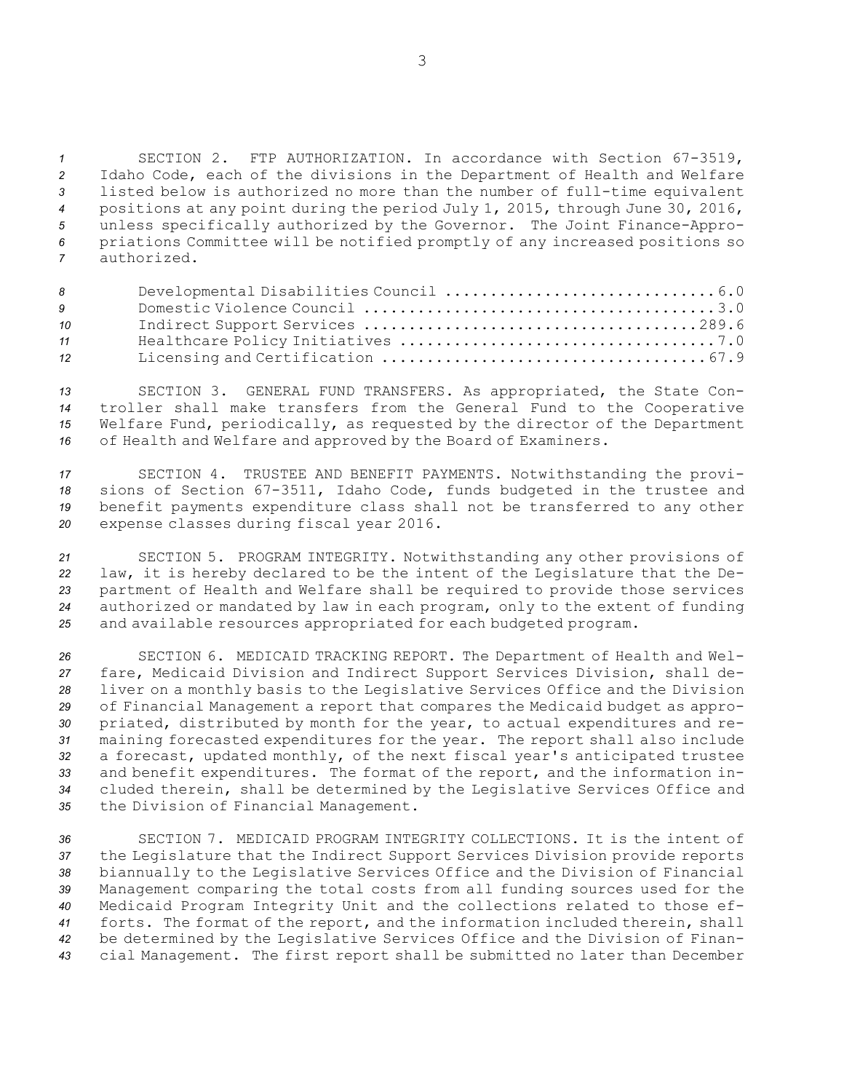SECTION 2. FTP AUTHORIZATION. In accordance with Section 67-3519, Idaho Code, each of the divisions in the Department of Health and Welfare listed below is authorized no more than the number of full-time equivalent positions at any point during the period July 1, 2015, through June 30, 2016, unless specifically authorized by the Governor. The Joint Finance-Appro- priations Committee will be notified promptly of any increased positions so authorized.

| 8  |  |  |
|----|--|--|
| 9  |  |  |
| 10 |  |  |
| 11 |  |  |
| 12 |  |  |

 SECTION 3. GENERAL FUND TRANSFERS. As appropriated, the State Con- troller shall make transfers from the General Fund to the Cooperative Welfare Fund, periodically, as requested by the director of the Department of Health and Welfare and approved by the Board of Examiners.

 SECTION 4. TRUSTEE AND BENEFIT PAYMENTS. Notwithstanding the provi- sions of Section 67-3511, Idaho Code, funds budgeted in the trustee and benefit payments expenditure class shall not be transferred to any other expense classes during fiscal year 2016.

 SECTION 5. PROGRAM INTEGRITY. Notwithstanding any other provisions of law, it is hereby declared to be the intent of the Legislature that the De- partment of Health and Welfare shall be required to provide those services authorized or mandated by law in each program, only to the extent of funding and available resources appropriated for each budgeted program.

 SECTION 6. MEDICAID TRACKING REPORT. The Department of Health and Wel- fare, Medicaid Division and Indirect Support Services Division, shall de- liver on <sup>a</sup> monthly basis to the Legislative Services Office and the Division of Financial Management <sup>a</sup> report that compares the Medicaid budget as appro- priated, distributed by month for the year, to actual expenditures and re- maining forecasted expenditures for the year. The report shall also include <sup>a</sup> forecast, updated monthly, of the next fiscal year's anticipated trustee and benefit expenditures. The format of the report, and the information in- cluded therein, shall be determined by the Legislative Services Office and the Division of Financial Management.

 SECTION 7. MEDICAID PROGRAM INTEGRITY COLLECTIONS. It is the intent of the Legislature that the Indirect Support Services Division provide reports biannually to the Legislative Services Office and the Division of Financial Management comparing the total costs from all funding sources used for the Medicaid Program Integrity Unit and the collections related to those ef- forts. The format of the report, and the information included therein, shall be determined by the Legislative Services Office and the Division of Finan-cial Management. The first report shall be submitted no later than December